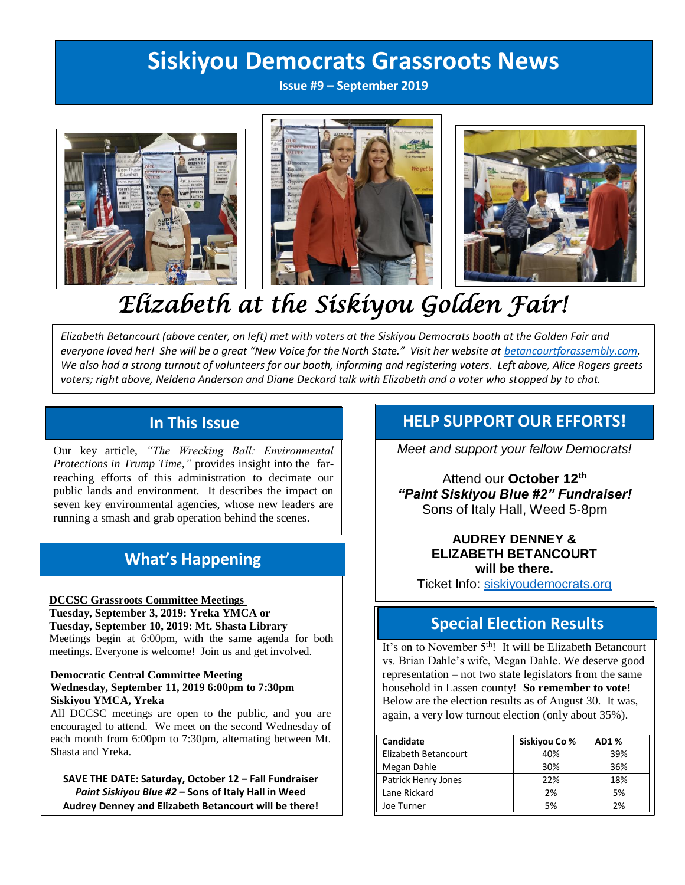## **Siskiyou Democrats Grassroots News**

**Issue #9 – September 2019**



# *Elizabeth at the Siskiyou Golden Fair!*

*Elizabeth Betancourt (above center, on left) met with voters at the Siskiyou Democrats booth at the Golden Fair and everyone loved her! She will be a great "New Voice for the North State." Visit her website at [betancourtforassembly.com.](http://www.betancourtforassembly.com/) We also had a strong turnout of volunteers for our booth, informing and registering voters. Left above, Alice Rogers greets voters; right above, Neldena Anderson and Diane Deckard talk with Elizabeth and a voter who stopped by to chat.*

Our key article, *"The Wrecking Ball: Environmental Protections in Trump Time,"* provides insight into the farreaching efforts of this administration to decimate our public lands and environment. It describes the impact on seven key environmental agencies, whose new leaders are running a smash and grab operation behind the scenes.

### **What's Happening**

#### **DCCSC Grassroots Committee Meetings**

**Tuesday, September 3, 2019: Yreka YMCA or Tuesday, September 10, 2019: Mt. Shasta Library**  Meetings begin at 6:00pm, with the same agenda for both meetings. Everyone is welcome! Join us and get involved.

#### **Democratic Central Committee Meeting Wednesday, September 11, 2019 6:00pm to 7:30pm Siskiyou YMCA, Yreka**

All DCCSC meetings are open to the public, and you are encouraged to attend. We meet on the second Wednesday of each month from 6:00pm to 7:30pm, alternating between Mt. Shasta and Yreka.

**SAVE THE DATE: Saturday, October 12 – Fall Fundraiser** *Paint Siskiyou Blue #2* **– Sons of Italy Hall in Weed Audrey Denney and Elizabeth Betancourt will be there!** 

### In This Issue **Help SUPPORT OUR EFFORTS!**

*Meet and support your fellow Democrats!* 

Attend our **October 12th**  *"Paint Siskiyou Blue #2" Fundraiser!* Sons of Italy Hall, Weed 5-8pm

### **AUDREY DENNEY & ELIZABETH BETANCOURT will be there.**

Ticket Info: [siskiyoudemocrats.org](http://www.siskiyoudemocrats.org/)

### **Special Election Results**

It's on to November  $5<sup>th</sup>$ ! It will be Elizabeth Betancourt vs. Brian Dahle's wife, Megan Dahle. We deserve good representation – not two state legislators from the same household in Lassen county! **So remember to vote!** Below are the election results as of August 30. It was, again, a very low turnout election (only about 35%).

| Candidate            | Siskiyou Co % | <b>AD1%</b> |
|----------------------|---------------|-------------|
| Elizabeth Betancourt | 40%           | 39%         |
| Megan Dahle          | 30%           | 36%         |
| Patrick Henry Jones  | 22%           | 18%         |
| Lane Rickard         | 2%            | 5%          |
| Joe Turner           | 5%            | 2%          |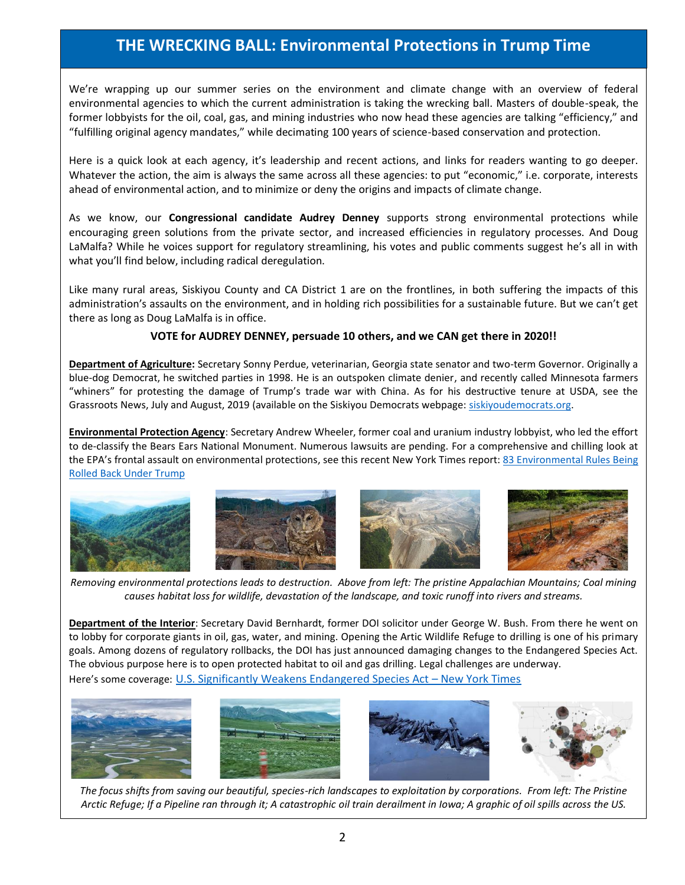### **THE WRECKING BALL: Environmental Protections in Trump Time**

We're wrapping up our summer series on the environment and climate change with an overview of federal environmental agencies to which the current administration is taking the wrecking ball. Masters of double-speak, the former lobbyists for the oil, coal, gas, and mining industries who now head these agencies are talking "efficiency," and "fulfilling original agency mandates," while decimating 100 years of science-based conservation and protection.

Here is a quick look at each agency, it's leadership and recent actions, and links for readers wanting to go deeper. Whatever the action, the aim is always the same across all these agencies: to put "economic," i.e. corporate, interests ahead of environmental action, and to minimize or deny the origins and impacts of climate change.

As we know, our **Congressional candidate Audrey Denney** supports strong environmental protections while encouraging green solutions from the private sector, and increased efficiencies in regulatory processes. And Doug LaMalfa? While he voices support for regulatory streamlining, his votes and public comments suggest he's all in with what you'll find below, including radical deregulation.

Like many rural areas, Siskiyou County and CA District 1 are on the frontlines, in both suffering the impacts of this administration's assaults on the environment, and in holding rich possibilities for a sustainable future. But we can't get there as long as Doug LaMalfa is in office.

### **VOTE for AUDREY DENNEY, persuade 10 others, and we CAN get there in 2020!!**

**Department of Agriculture:** Secretary Sonny Perdue, veterinarian, Georgia state senator and two-term Governor. Originally a blue-dog Democrat, he switched parties in 1998. He is an outspoken climate denier, and recently called Minnesota farmers "whiners" for protesting the damage of Trump's trade war with China. As for his destructive tenure at USDA, see the Grassroots News, July and August, 2019 (available on the Siskiyou Democrats webpage: [siskiyoudemocrats.org.](http://www.siskiyoudemocrats.org/)

**Environmental Protection Agency**: Secretary Andrew Wheeler, former coal and uranium industry lobbyist, who led the effort to de-classify the Bears Ears National Monument. Numerous lawsuits are pending. For a comprehensive and chilling look at the EPA's frontal assault on environmental protections, see this recent New York Times report[: 83 Environmental Rules Being](https://www.nytimes.com/interactive/2019/climate/trump-environment-rollbacks.html)  [Rolled Back Under Trump](https://www.nytimes.com/interactive/2019/climate/trump-environment-rollbacks.html)









*Removing environmental protections leads to destruction. Above from left: The pristine Appalachian Mountains; Coal mining causes habitat loss for wildlife, devastation of the landscape, and toxic runoff into rivers and streams.*

**Department of the Interior**: Secretary David Bernhardt, former DOI solicitor under George W. Bush. From there he went on to lobby for corporate giants in oil, gas, water, and mining. Opening the Artic Wildlife Refuge to drilling is one of his primary goals. Among dozens of regulatory rollbacks, the DOI has just announced damaging changes to the Endangered Species Act. The obvious purpose here is to open protected habitat to oil and gas drilling. Legal challenges are underway. Here's some coverage: [U.S. Significantly Weakens Endangered Species Act](https://www.nytimes.com/2019/08/12/climate/endangered-species-act-changes.html?action=click&module=Top%20Stories&pgtype=Homepage) - New York Times



*The focus shifts from saving our beautiful, species-rich landscapes to exploitation by corporations. From left: The Pristine Arctic Refuge; If a Pipeline ran through it; A catastrophic oil train derailment in Iowa; A graphic of oil spills across the US.*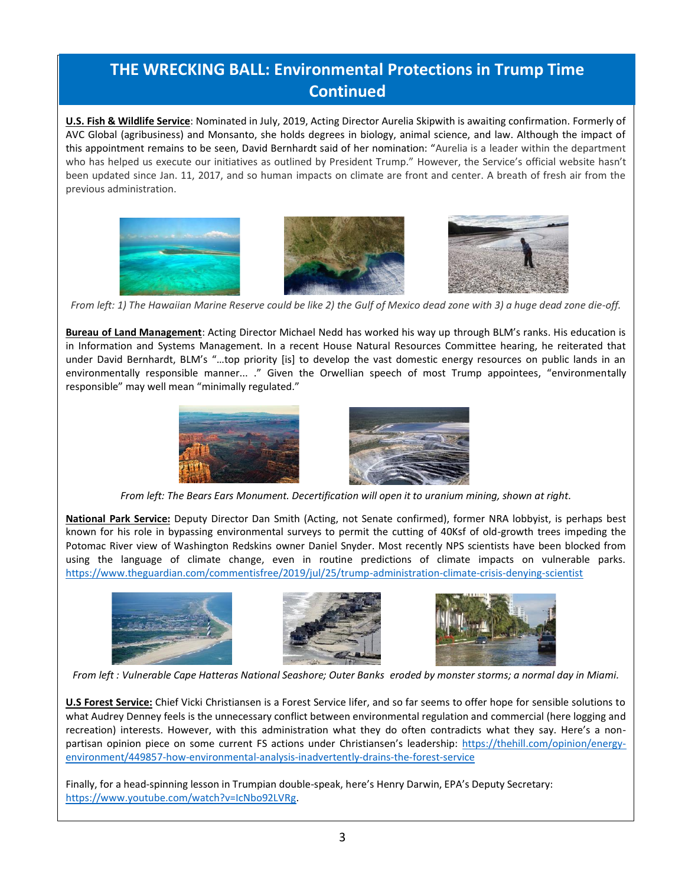## **THE WRECKING BALL: Environmental Protections in Trump Time Continued**

**U.S. Fish & Wildlife Service**: Nominated in July, 2019, Acting Director Aurelia Skipwith is awaiting confirmation. Formerly of AVC Global (agribusiness) and Monsanto, she holds degrees in biology, animal science, and law. Although the impact of this appointment remains to be seen, David Bernhardt said of her nomination: "Aurelia is a leader within the department who has helped us execute our initiatives as outlined by President Trump." However, the Service's official website hasn't been updated since Jan. 11, 2017, and so human impacts on climate are front and center. A breath of fresh air from the previous administration.



*From left: 1) The Hawaiian Marine Reserve could be like 2) the Gulf of Mexico dead zone with 3) a huge dead zone die-off.*

**Bureau of Land Management**: Acting Director Michael Nedd has worked his way up through BLM's ranks. His education is in Information and Systems Management. In a recent House Natural Resources Committee hearing, he reiterated that under David Bernhardt, BLM's "…top priority [is] to develop the vast domestic energy resources on public lands in an environmentally responsible manner... ." Given the Orwellian speech of most Trump appointees, "environmentally responsible" may well mean "minimally regulated."



*From left: The Bears Ears Monument. Decertification will open it to uranium mining, shown at right.*

**National Park Service:** Deputy Director Dan Smith (Acting, not Senate confirmed), former NRA lobbyist, is perhaps best known for his role in bypassing environmental surveys to permit the cutting of 40Ksf of old-growth trees impeding the Potomac River view of Washington Redskins owner Daniel Snyder. Most recently NPS scientists have been blocked from using the language of climate change, even in routine predictions of climate impacts on vulnerable parks. <https://www.theguardian.com/commentisfree/2019/jul/25/trump-administration-climate-crisis-denying-scientist>







*From left : Vulnerable Cape Hatteras National Seashore; Outer Banks eroded by monster storms; a normal day in Miami.*

**U.S Forest Service:** Chief Vicki Christiansen is a Forest Service lifer, and so far seems to offer hope for sensible solutions to what Audrey Denney feels is the unnecessary conflict between environmental regulation and commercial (here logging and recreation) interests. However, with this administration what they do often contradicts what they say. Here's a nonpartisan opinion piece on some current FS actions under Christiansen's leadership: [https://thehill.com/opinion/energy](https://thehill.com/opinion/energy-environment/449857-how-environmental-analysis-inadvertently-drains-the-forest-service)[environment/449857-how-environmental-analysis-inadvertently-drains-the-forest-service](https://thehill.com/opinion/energy-environment/449857-how-environmental-analysis-inadvertently-drains-the-forest-service)

Finally, for a head-spinning lesson in Trumpian double-speak, here's Henry Darwin, EPA's Deputy Secretary: [https://www.youtube.com/watch?v=IcNbo92LVRg.](https://www.youtube.com/watch?v=IcNbo92LVRg)